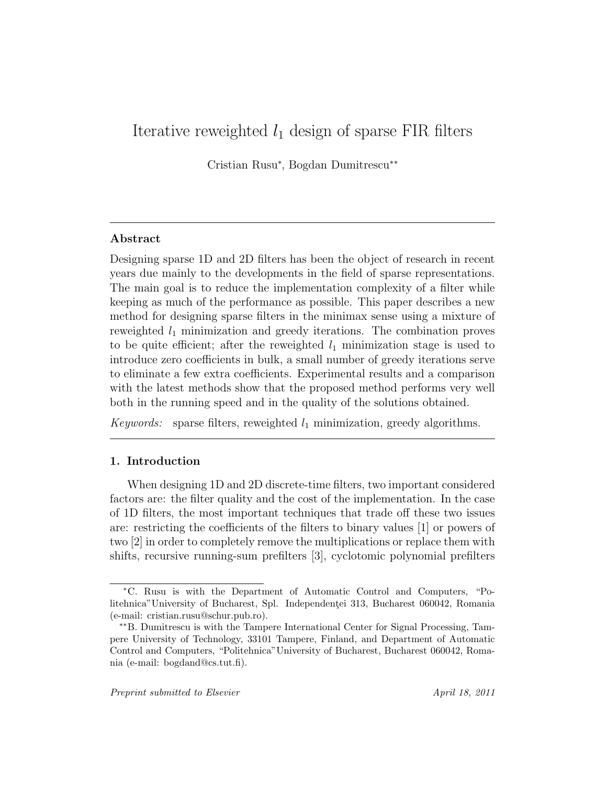# Iterative reweighted  $l_1$  design of sparse FIR filters

Cristian Rusu<sup>∗</sup> , Bogdan Dumitrescu∗∗

# Abstract

Designing sparse 1D and 2D filters has been the object of research in recent years due mainly to the developments in the field of sparse representations. The main goal is to reduce the implementation complexity of a filter while keeping as much of the performance as possible. This paper describes a new method for designing sparse filters in the minimax sense using a mixture of reweighted  $l_1$  minimization and greedy iterations. The combination proves to be quite efficient; after the reweighted  $l_1$  minimization stage is used to introduce zero coefficients in bulk, a small number of greedy iterations serve to eliminate a few extra coefficients. Experimental results and a comparison with the latest methods show that the proposed method performs very well both in the running speed and in the quality of the solutions obtained.

Keywords: sparse filters, reweighted  $l_1$  minimization, greedy algorithms.

# 1. Introduction

When designing 1D and 2D discrete-time filters, two important considered factors are: the filter quality and the cost of the implementation. In the case of 1D filters, the most important techniques that trade off these two issues are: restricting the coefficients of the filters to binary values [1] or powers of two [2] in order to completely remove the multiplications or replace them with shifts, recursive running-sum prefilters [3], cyclotomic polynomial prefilters

<sup>∗</sup>C. Rusu is with the Department of Automatic Control and Computers, "Politehnica"University of Bucharest, Spl. Independenței 313, Bucharest 060042, Romania (e-mail: cristian.rusu@schur.pub.ro).

<sup>∗∗</sup>B. Dumitrescu is with the Tampere International Center for Signal Processing, Tampere University of Technology, 33101 Tampere, Finland, and Department of Automatic Control and Computers, "Politehnica"University of Bucharest, Bucharest 060042, Romania (e-mail: bogdand@cs.tut.fi).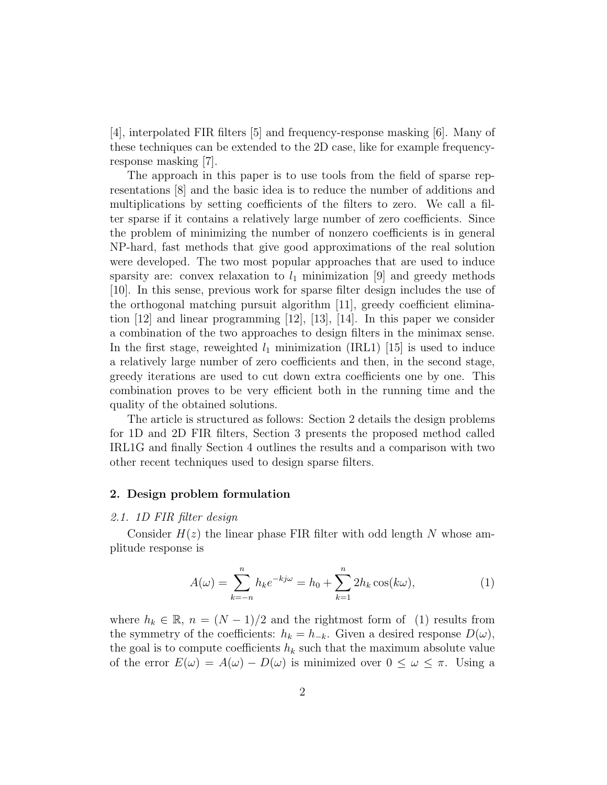[4], interpolated FIR filters [5] and frequency-response masking [6]. Many of these techniques can be extended to the 2D case, like for example frequencyresponse masking [7].

The approach in this paper is to use tools from the field of sparse representations [8] and the basic idea is to reduce the number of additions and multiplications by setting coefficients of the filters to zero. We call a filter sparse if it contains a relatively large number of zero coefficients. Since the problem of minimizing the number of nonzero coefficients is in general NP-hard, fast methods that give good approximations of the real solution were developed. The two most popular approaches that are used to induce sparsity are: convex relaxation to  $l_1$  minimization [9] and greedy methods [10]. In this sense, previous work for sparse filter design includes the use of the orthogonal matching pursuit algorithm [11], greedy coefficient elimination  $|12|$  and linear programming  $|12|$ ,  $|13|$ ,  $|14|$ . In this paper we consider a combination of the two approaches to design filters in the minimax sense. In the first stage, reweighted  $l_1$  minimization (IRL1) [15] is used to induce a relatively large number of zero coefficients and then, in the second stage, greedy iterations are used to cut down extra coefficients one by one. This combination proves to be very efficient both in the running time and the quality of the obtained solutions.

The article is structured as follows: Section 2 details the design problems for 1D and 2D FIR filters, Section 3 presents the proposed method called IRL1G and finally Section 4 outlines the results and a comparison with two other recent techniques used to design sparse filters.

#### 2. Design problem formulation

#### 2.1. 1D FIR filter design

Consider  $H(z)$  the linear phase FIR filter with odd length N whose amplitude response is

$$
A(\omega) = \sum_{k=-n}^{n} h_k e^{-kj\omega} = h_0 + \sum_{k=1}^{n} 2h_k \cos(k\omega),
$$
 (1)

where  $h_k \in \mathbb{R}$ ,  $n = (N-1)/2$  and the rightmost form of (1) results from the symmetry of the coefficients:  $h_k = h_{-k}$ . Given a desired response  $D(\omega)$ , the goal is to compute coefficients  $h_k$  such that the maximum absolute value of the error  $E(\omega) = A(\omega) - D(\omega)$  is minimized over  $0 \leq \omega \leq \pi$ . Using a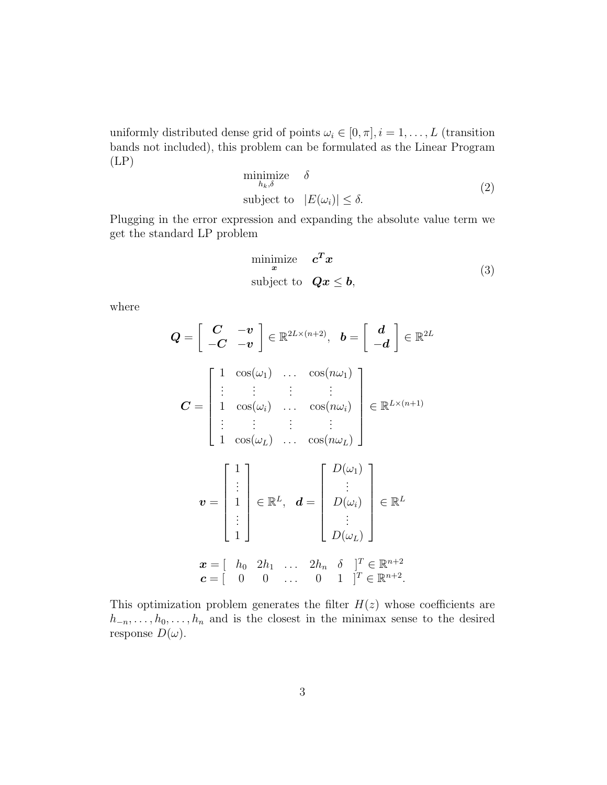uniformly distributed dense grid of points  $\omega_i \in [0, \pi], i = 1, \dots, L$  (transition bands not included), this problem can be formulated as the Linear Program (LP)

$$
\begin{array}{ll}\text{minimize} & \delta\\ \text{subject to} & |E(\omega_i)| \le \delta. \end{array} \tag{2}
$$

Plugging in the error expression and expanding the absolute value term we get the standard LP problem

$$
\begin{array}{ll}\n\text{minimize} & \mathbf{c}^T \mathbf{x} \\
\text{subject to} & \mathbf{Qx} \le \mathbf{b},\n\end{array} \tag{3}
$$

where

$$
Q = \begin{bmatrix} C & -\mathbf{v} \\ -C & -\mathbf{v} \end{bmatrix} \in \mathbb{R}^{2L \times (n+2)}, \quad \mathbf{b} = \begin{bmatrix} d \\ -d \end{bmatrix} \in \mathbb{R}^{2L}
$$

$$
C = \begin{bmatrix} 1 & \cos(\omega_1) & \dots & \cos(n\omega_1) \\ \vdots & \vdots & \vdots & \vdots \\ 1 & \cos(\omega_i) & \dots & \cos(n\omega_L) \end{bmatrix} \in \mathbb{R}^{L \times (n+1)}
$$

$$
\mathbf{v} = \begin{bmatrix} 1 \\ \vdots \\ 1 \\ \vdots \end{bmatrix} \in \mathbb{R}^{L}, \quad \mathbf{d} = \begin{bmatrix} D(\omega_1) \\ \vdots \\ D(\omega_i) \\ \vdots \\ D(\omega_L) \end{bmatrix} \in \mathbb{R}^{L}
$$

$$
\mathbf{x} = \begin{bmatrix} h_0 & 2h_1 & \dots & 2h_n & \delta \end{bmatrix}^T \in \mathbb{R}^{n+2}
$$

$$
\mathbf{c} = \begin{bmatrix} 0 & 0 & \dots & 0 & 1 \end{bmatrix}^T \in \mathbb{R}^{n+2}.
$$

This optimization problem generates the filter  $H(z)$  whose coefficients are  $h_{-n}, \ldots, h_0, \ldots, h_n$  and is the closest in the minimax sense to the desired response  $D(\omega)$ .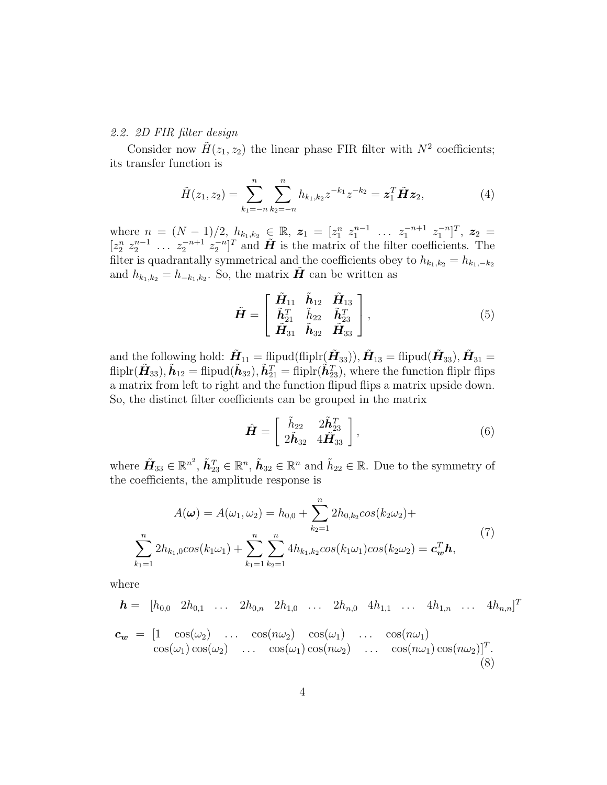#### 2.2. 2D FIR filter design

Consider now  $\tilde{H}(z_1, z_2)$  the linear phase FIR filter with  $N^2$  coefficients; its transfer function is

$$
\tilde{H}(z_1, z_2) = \sum_{k_1 = -n}^{n} \sum_{k_2 = -n}^{n} h_{k_1, k_2} z^{-k_1} z^{-k_2} = \mathbf{z}_1^T \tilde{\mathbf{H}} \mathbf{z}_2,
$$
\n(4)

where  $n = (N-1)/2, h_{k_1,k_2} \in \mathbb{R}, z_1 = [z_1^n \ z_1^{n-1} \ \ldots \ z_1^{-n+1} \ z_1^{-n}]^T, z_2 =$  $[z_2^n \ z_2^{n-1} \ \ldots \ z_2^{-n+1} \ z_2^{-n}]^T$  and  $\tilde{H}$  is the matrix of the filter coefficients. The filter is quadrantally symmetrical and the coefficients obey to  $h_{k_1,k_2} = h_{k_1,-k_2}$ and  $h_{k_1,k_2} = h_{-k_1,k_2}$ . So, the matrix  $\tilde{H}$  can be written as

$$
\tilde{\boldsymbol{H}} = \begin{bmatrix} \tilde{\boldsymbol{H}}_{11} & \tilde{\boldsymbol{h}}_{12} & \tilde{\boldsymbol{H}}_{13} \\ \tilde{\boldsymbol{h}}_{21}^T & \tilde{\boldsymbol{h}}_{22} & \tilde{\boldsymbol{h}}_{23}^T \\ \tilde{\boldsymbol{H}}_{31} & \tilde{\boldsymbol{h}}_{32} & \tilde{\boldsymbol{H}}_{33} \end{bmatrix},
$$
\n(5)

and the following hold:  $\tilde{\bm{H}}_{11} = \text{flipud}(\text{fliplr}(\tilde{\bm{H}}_{33})), \tilde{\bm{H}}_{13} = \text{flipud}(\tilde{\bm{H}}_{33}), \tilde{\bm{H}}_{31} =$  $\textrm{fliplr}(\tilde{\bm{H}}_{33}),\tilde{\bm{h}}_{12}=\textrm{fliput}(\tilde{\bm{h}}_{32}),\tilde{\bm{h}}_{21}^T=\textrm{fliplr}(\tilde{\bm{h}}_{23}^T), \textrm{where the function fliplr flips}$ a matrix from left to right and the function flipud flips a matrix upside down. So, the distinct filter coefficients can be grouped in the matrix

$$
\hat{\boldsymbol{H}} = \left[ \begin{array}{cc} \tilde{h}_{22} & 2\tilde{\boldsymbol{h}}_{23}^T \\ 2\tilde{\boldsymbol{h}}_{32} & 4\tilde{\boldsymbol{H}}_{33} \end{array} \right],
$$
\n(6)

where  $\tilde{\mathbf{H}}_{33} \in \mathbb{R}^{n^2}$ ,  $\tilde{\mathbf{h}}_{23}^T \in \mathbb{R}^n$ ,  $\tilde{\mathbf{h}}_{32} \in \mathbb{R}^n$  and  $\tilde{h}_{22} \in \mathbb{R}$ . Due to the symmetry of the coefficients, the amplitude response is

$$
A(\omega) = A(\omega_1, \omega_2) = h_{0,0} + \sum_{k_2=1}^n 2h_{0,k_2} \cos(k_2 \omega_2) +
$$
  

$$
\sum_{k_1=1}^n 2h_{k_1,0} \cos(k_1 \omega_1) + \sum_{k_1=1}^n \sum_{k_2=1}^n 4h_{k_1,k_2} \cos(k_1 \omega_1) \cos(k_2 \omega_2) = \mathbf{c}_{\mathbf{w}}^T \mathbf{h},
$$
 (7)

where

$$
\mathbf{h} = [h_{0,0} \ 2h_{0,1} \ \ldots \ 2h_{0,n} \ 2h_{1,0} \ \ldots \ 2h_{n,0} \ 4h_{1,1} \ \ldots \ 4h_{1,n} \ \ldots \ 4h_{n,n}]^T
$$

$$
\mathbf{c}_{\mathbf{w}} = [1 \ \cos(\omega_2) \ \ldots \ \cos(n\omega_2) \ \cos(\omega_1) \ \ldots \ \cos(n\omega_1) \ \cos(n\omega_2)]^T.
$$

$$
\cos(\omega_1) \cos(\omega_2) \ \ldots \ \cos(\omega_1) \cos(n\omega_2) \ \ldots \ \cos(n\omega_1) \cos(n\omega_2)]^T.
$$
(8)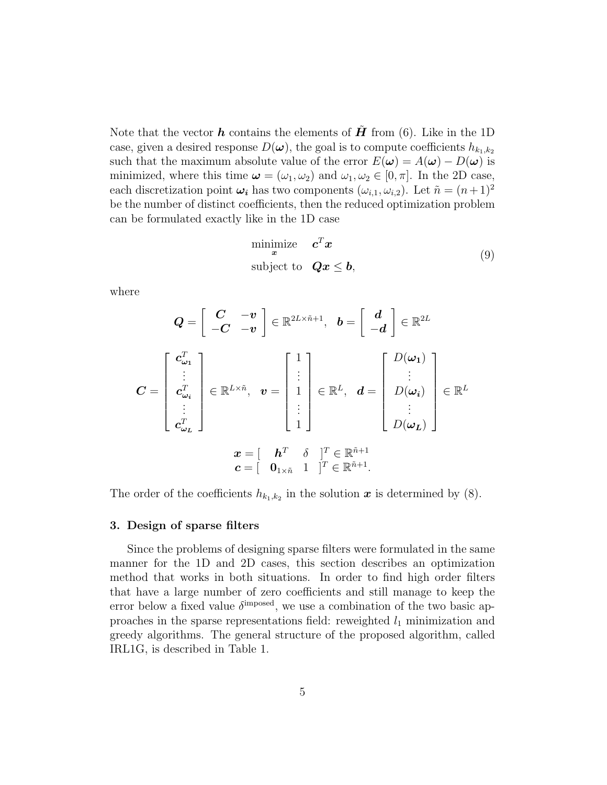Note that the vector  $h$  contains the elements of  $H$  from (6). Like in the 1D case, given a desired response  $D(\boldsymbol{\omega})$ , the goal is to compute coefficients  $h_{k_1,k_2}$ such that the maximum absolute value of the error  $E(\boldsymbol{\omega}) = A(\boldsymbol{\omega}) - D(\boldsymbol{\omega})$  is minimized, where this time  $\boldsymbol{\omega} = (\omega_1, \omega_2)$  and  $\omega_1, \omega_2 \in [0, \pi]$ . In the 2D case, each discretization point  $\omega_i$  has two components  $(\omega_{i,1}, \omega_{i,2})$ . Let  $\tilde{n} = (n+1)^2$ be the number of distinct coefficients, then the reduced optimization problem can be formulated exactly like in the 1D case

$$
\begin{array}{ll}\n\text{minimize} & \mathbf{c}^T \mathbf{x} \\
\text{subject to} & \mathbf{Qx} \le \mathbf{b},\n\end{array} \tag{9}
$$

where

$$
Q = \begin{bmatrix} C & -v \\ -C & -v \end{bmatrix} \in \mathbb{R}^{2L \times \tilde{n}+1}, \quad b = \begin{bmatrix} d \\ -d \end{bmatrix} \in \mathbb{R}^{2L}
$$

$$
C = \begin{bmatrix} c_{\omega_1}^T \\ \vdots \\ c_{\omega_i}^T \\ \vdots \\ c_{\omega_L}^T \end{bmatrix} \in \mathbb{R}^{L \times \tilde{n}}, \quad v = \begin{bmatrix} 1 \\ \vdots \\ 1 \\ \vdots \\ 1 \end{bmatrix} \in \mathbb{R}^L, \quad d = \begin{bmatrix} D(\omega_1) \\ \vdots \\ D(\omega_i) \\ \vdots \\ D(\omega_L) \end{bmatrix} \in \mathbb{R}^L
$$

$$
x = \begin{bmatrix} h^T & \delta & \end{bmatrix}^T \in \mathbb{R}^{\tilde{n}+1}
$$

$$
c = \begin{bmatrix} 0_{1 \times \tilde{n}} & 1 & \end{bmatrix}^T \in \mathbb{R}^{\tilde{n}+1}.
$$

The order of the coefficients  $h_{k_1,k_2}$  in the solution  $\boldsymbol{x}$  is determined by (8).

#### 3. Design of sparse filters

Since the problems of designing sparse filters were formulated in the same manner for the 1D and 2D cases, this section describes an optimization method that works in both situations. In order to find high order filters that have a large number of zero coefficients and still manage to keep the error below a fixed value  $\delta^{\text{imposed}}$ , we use a combination of the two basic approaches in the sparse representations field: reweighted  $l_1$  minimization and greedy algorithms. The general structure of the proposed algorithm, called IRL1G, is described in Table 1.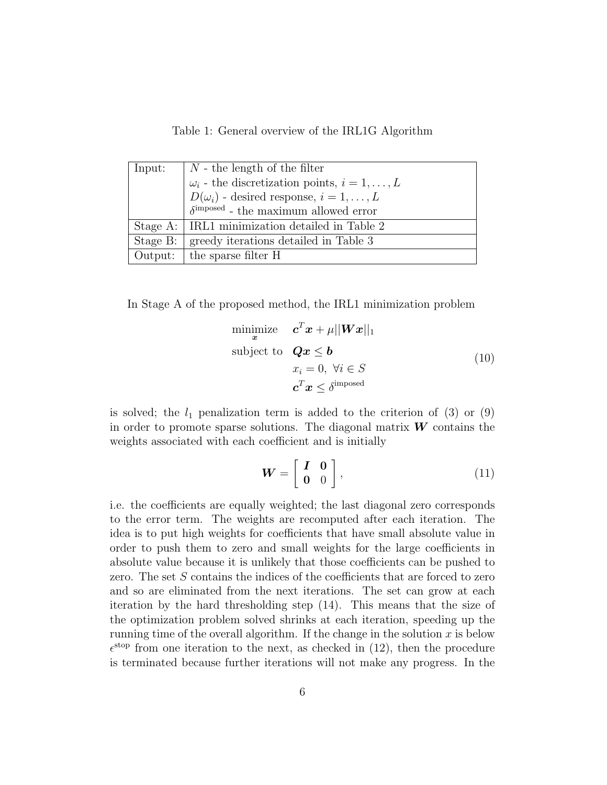Table 1: General overview of the IRL1G Algorithm

| Input:   | $N$ - the length of the filter                             |  |  |  |  |  |  |
|----------|------------------------------------------------------------|--|--|--|--|--|--|
|          | $\omega_i$ - the discretization points, $i = 1, \ldots, L$ |  |  |  |  |  |  |
|          | $D(\omega_i)$ - desired response, $i = 1, \ldots, L$       |  |  |  |  |  |  |
|          | $\delta^{\text{imposed}}$ - the maximum allowed error      |  |  |  |  |  |  |
|          | Stage A:   IRL1 minimization detailed in Table 2           |  |  |  |  |  |  |
| Stage B: | greedy iterations detailed in Table 3                      |  |  |  |  |  |  |
|          | Output: $\vert$ the sparse filter H                        |  |  |  |  |  |  |

In Stage A of the proposed method, the IRL1 minimization problem

$$
\begin{array}{ll}\n\text{minimize} & \mathbf{c}^T \mathbf{x} + \mu ||\mathbf{W}\mathbf{x}||_1 \\
\text{subject to} & \mathbf{Q}\mathbf{x} \le \mathbf{b} \\
& x_i = 0, \ \forall i \in S \\
& \mathbf{c}^T \mathbf{x} \le \delta^{\text{imposed}}\n\end{array} \tag{10}
$$

is solved; the  $l_1$  penalization term is added to the criterion of (3) or (9) in order to promote sparse solutions. The diagonal matrix  $W$  contains the weights associated with each coefficient and is initially

$$
\boldsymbol{W} = \left[ \begin{array}{cc} \boldsymbol{I} & \boldsymbol{0} \\ \boldsymbol{0} & 0 \end{array} \right],\tag{11}
$$

i.e. the coefficients are equally weighted; the last diagonal zero corresponds to the error term. The weights are recomputed after each iteration. The idea is to put high weights for coefficients that have small absolute value in order to push them to zero and small weights for the large coefficients in absolute value because it is unlikely that those coefficients can be pushed to zero. The set S contains the indices of the coefficients that are forced to zero and so are eliminated from the next iterations. The set can grow at each iteration by the hard thresholding step (14). This means that the size of the optimization problem solved shrinks at each iteration, speeding up the running time of the overall algorithm. If the change in the solution  $x$  is below  $\epsilon^{\text{stop}}$  from one iteration to the next, as checked in (12), then the procedure is terminated because further iterations will not make any progress. In the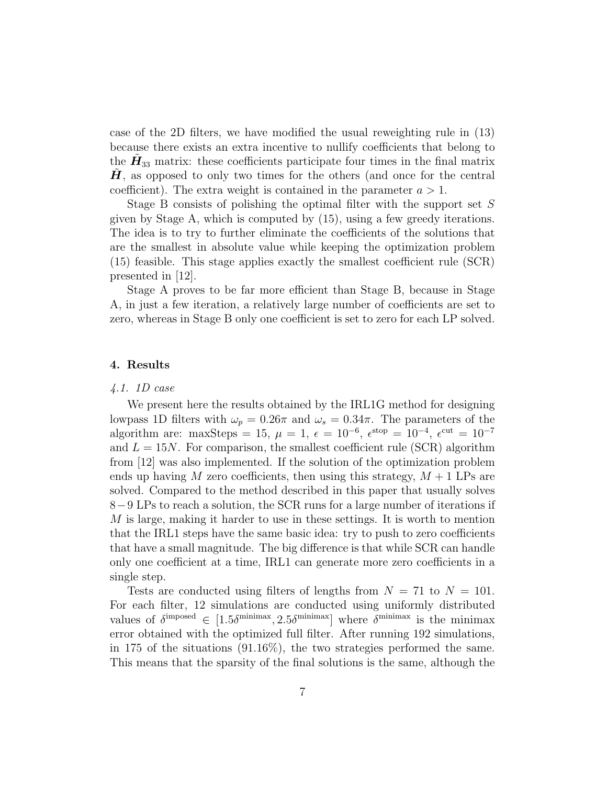case of the 2D filters, we have modified the usual reweighting rule in (13) because there exists an extra incentive to nullify coefficients that belong to the  $\tilde{H}_{33}$  matrix: these coefficients participate four times in the final matrix  $H$ , as opposed to only two times for the others (and once for the central coefficient). The extra weight is contained in the parameter  $a > 1$ .

Stage B consists of polishing the optimal filter with the support set S given by Stage A, which is computed by (15), using a few greedy iterations. The idea is to try to further eliminate the coefficients of the solutions that are the smallest in absolute value while keeping the optimization problem (15) feasible. This stage applies exactly the smallest coefficient rule (SCR) presented in [12].

Stage A proves to be far more efficient than Stage B, because in Stage A, in just a few iteration, a relatively large number of coefficients are set to zero, whereas in Stage B only one coefficient is set to zero for each LP solved.

#### 4. Results

#### 4.1. 1D case

We present here the results obtained by the IRL1G method for designing lowpass 1D filters with  $\omega_p = 0.26\pi$  and  $\omega_s = 0.34\pi$ . The parameters of the algorithm are: maxSteps = 15,  $\mu = 1$ ,  $\epsilon = 10^{-6}$ ,  $\epsilon^{\text{stop}} = 10^{-4}$ ,  $\epsilon^{\text{cut}} = 10^{-7}$ and  $L = 15N$ . For comparison, the smallest coefficient rule (SCR) algorithm from [12] was also implemented. If the solution of the optimization problem ends up having M zero coefficients, then using this strategy,  $M + 1$  LPs are solved. Compared to the method described in this paper that usually solves 8−9 LPs to reach a solution, the SCR runs for a large number of iterations if M is large, making it harder to use in these settings. It is worth to mention that the IRL1 steps have the same basic idea: try to push to zero coefficients that have a small magnitude. The big difference is that while SCR can handle only one coefficient at a time, IRL1 can generate more zero coefficients in a single step.

Tests are conducted using filters of lengths from  $N = 71$  to  $N = 101$ . For each filter, 12 simulations are conducted using uniformly distributed values of  $\delta^{\text{imposed}} \in [1.5\delta^{\text{minimax}}, 2.5\delta^{\text{minimax}}]$  where  $\delta^{\text{minimax}}$  is the minimax error obtained with the optimized full filter. After running 192 simulations, in 175 of the situations (91.16%), the two strategies performed the same. This means that the sparsity of the final solutions is the same, although the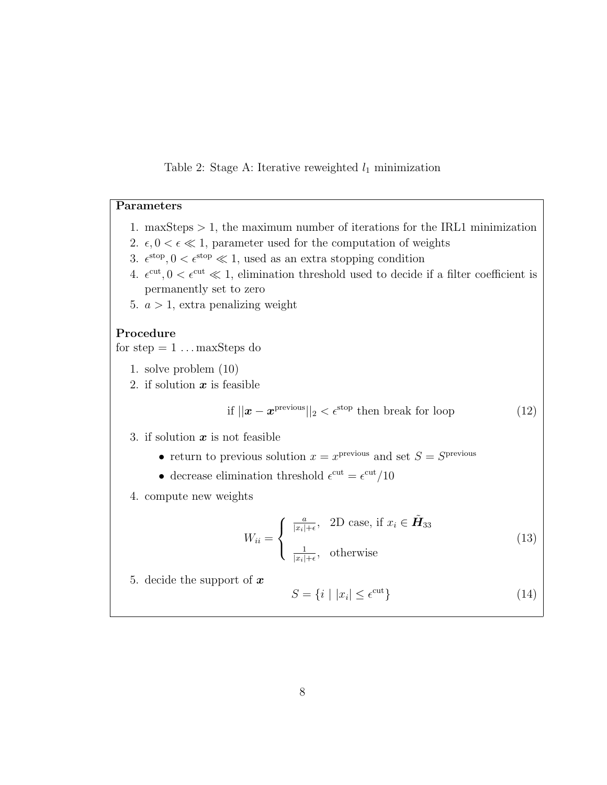# Table 2: Stage A: Iterative reweighted  $l_1$  minimization

## Parameters

- 1. maxSteps  $> 1$ , the maximum number of iterations for the IRL1 minimization
- 2.  $\epsilon$ ,  $0 < \epsilon \ll 1$ , parameter used for the computation of weights
- 3.  $\epsilon^{stop}$ ,  $0 < \epsilon^{stop} \ll 1$ , used as an extra stopping condition
- 4.  $\epsilon^{\text{cut}}, 0 < \epsilon^{\text{cut}} \ll 1$ , elimination threshold used to decide if a filter coefficient is permanently set to zero
- 5.  $a > 1$ , extra penalizing weight

## Procedure

for step  $= 1 \dots$  maxSteps do

- 1. solve problem (10)
- 2. if solution  $x$  is feasible

if 
$$
||\boldsymbol{x} - \boldsymbol{x}^{\text{previous}}||_2 < \epsilon^{\text{stop}}
$$
 then break for loop (12)

- 3. if solution  $x$  is not feasible
	- return to previous solution  $x = x^{\text{previous}}$  and set  $S = S^{\text{previous}}$
	- decrease elimination threshold  $\epsilon^{\text{cut}} = \epsilon^{\text{cut}}/10$
- 4. compute new weights

$$
W_{ii} = \begin{cases} \frac{a}{|x_i| + \epsilon}, & \text{2D case, if } x_i \in \tilde{\mathbf{H}}_{33} \\ \frac{1}{|x_i| + \epsilon}, & \text{otherwise} \end{cases}
$$
(13)

5. decide the support of  $x$ 

$$
S = \{i \mid |x_i| \le \epsilon^{\text{cut}}\}\tag{14}
$$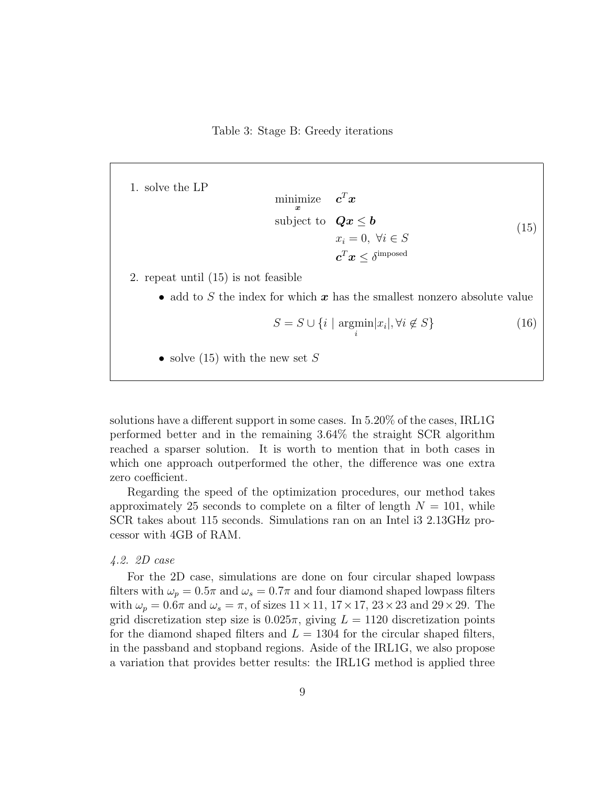Table 3: Stage B: Greedy iterations

1. solve the LP

minimize  $\boldsymbol{x}$  $\bm{c}^T\bm{x}$ subject to  $Qx \leq b$  $x_i = 0, \ \forall i \in S$  $\boldsymbol{c}^T\boldsymbol{x} \leq \delta^{\mathrm{imposed}}$ (15)

2. repeat until (15) is not feasible

• add to S the index for which  $x$  has the smallest nonzero absolute value

$$
S = S \cup \{i \mid \underset{i}{\text{argmin}} |x_i|, \forall i \notin S\} \tag{16}
$$

• solve (15) with the new set S

solutions have a different support in some cases. In 5.20% of the cases, IRL1G performed better and in the remaining 3.64% the straight SCR algorithm reached a sparser solution. It is worth to mention that in both cases in which one approach outperformed the other, the difference was one extra zero coefficient.

Regarding the speed of the optimization procedures, our method takes approximately 25 seconds to complete on a filter of length  $N = 101$ , while SCR takes about 115 seconds. Simulations ran on an Intel i3 2.13GHz processor with 4GB of RAM.

## 4.2. 2D case

For the 2D case, simulations are done on four circular shaped lowpass filters with  $\omega_p = 0.5\pi$  and  $\omega_s = 0.7\pi$  and four diamond shaped lowpass filters with  $\omega_p = 0.6\pi$  and  $\omega_s = \pi$ , of sizes  $11 \times 11$ ,  $17 \times 17$ ,  $23 \times 23$  and  $29 \times 29$ . The grid discretization step size is  $0.025\pi$ , giving  $L = 1120$  discretization points for the diamond shaped filters and  $L = 1304$  for the circular shaped filters, in the passband and stopband regions. Aside of the IRL1G, we also propose a variation that provides better results: the IRL1G method is applied three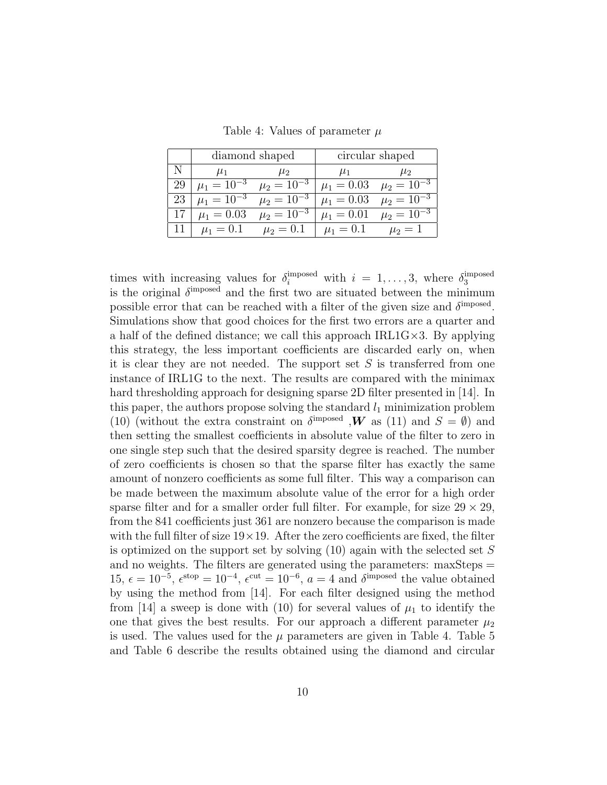|    |                   | diamond shaped    | circular shaped |                   |  |
|----|-------------------|-------------------|-----------------|-------------------|--|
|    | $\mu_1$           | $\mu_2$           | $\mu_1$         | $\mu_2$           |  |
| 29 | $\mu_1 = 10^{-3}$ | $\mu_2 = 10^{-3}$ | $\mu_1 = 0.03$  | $\mu_2 = 10^{-3}$ |  |
| 23 | $\mu_1 = 10^{-3}$ | $\mu_2 = 10^{-3}$ | $\mu_1 = 0.03$  | $\mu_2 = 10^{-3}$ |  |
|    | $\mu_1 = 0.03$    | $\mu_2 = 10^{-3}$ | $\mu_1 = 0.01$  | $\mu_2 = 10^{-3}$ |  |
|    | $\mu_1 = 0.1$     | $\mu_2 = 0.1$     | $\mu_1 = 0.1$   | $\mu_2 = 1$       |  |

Table 4: Values of parameter  $\mu$ 

times with increasing values for  $\delta_i^{\text{imposed}}$  with  $i = 1, ..., 3$ , where  $\delta_3^{\text{imposed}}$ 3 is the original  $\delta^{\text{imposed}}$  and the first two are situated between the minimum possible error that can be reached with a filter of the given size and  $\delta^{\text{imposed}}$ . Simulations show that good choices for the first two errors are a quarter and a half of the defined distance; we call this approach  $IRL1G \times 3$ . By applying this strategy, the less important coefficients are discarded early on, when it is clear they are not needed. The support set  $S$  is transferred from one instance of IRL1G to the next. The results are compared with the minimax hard thresholding approach for designing sparse 2D filter presented in [14]. In this paper, the authors propose solving the standard  $l_1$  minimization problem (10) (without the extra constraint on  $\delta^{\text{imposed}}$ , **W** as (11) and  $S = \emptyset$ ) and then setting the smallest coefficients in absolute value of the filter to zero in one single step such that the desired sparsity degree is reached. The number of zero coefficients is chosen so that the sparse filter has exactly the same amount of nonzero coefficients as some full filter. This way a comparison can be made between the maximum absolute value of the error for a high order sparse filter and for a smaller order full filter. For example, for size  $29 \times 29$ , from the 841 coefficients just 361 are nonzero because the comparison is made with the full filter of size  $19\times19$ . After the zero coefficients are fixed, the filter is optimized on the support set by solving  $(10)$  again with the selected set S and no weights. The filters are generated using the parameters: maxSteps = 15,  $\epsilon = 10^{-5}$ ,  $\epsilon^{stop} = 10^{-4}$ ,  $\epsilon^{cut} = 10^{-6}$ ,  $a = 4$  and  $\delta^{imposed}$  the value obtained by using the method from [14]. For each filter designed using the method from [14] a sweep is done with (10) for several values of  $\mu_1$  to identify the one that gives the best results. For our approach a different parameter  $\mu_2$ is used. The values used for the  $\mu$  parameters are given in Table 4. Table 5 and Table 6 describe the results obtained using the diamond and circular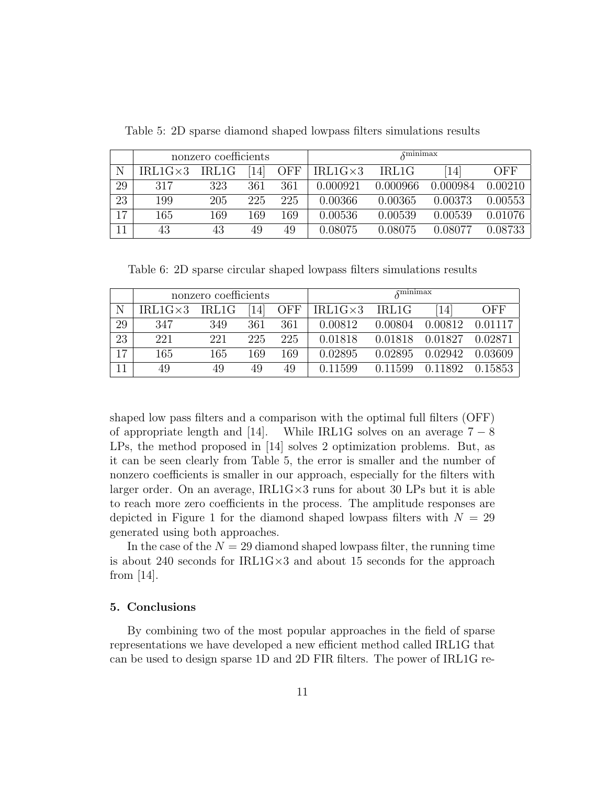|    | nonzero coefficients |       |     |            | $\overline{\lambda}$ minimax |          |          |         |
|----|----------------------|-------|-----|------------|------------------------------|----------|----------|---------|
| Ν  | $IRL1G\times3$       | IRL1G | 14  | <b>OFF</b> | $IRL1G\times3$               | IRL1G    | 14       | OFF     |
| 29 | 317                  | 323   | 361 | 361        | 0.000921                     | 0.000966 | 0.000984 | 0.00210 |
| 23 | 199                  | 205   | 225 | 225        | 0.00366                      | 0.00365  | 0.00373  | 0.00553 |
| 17 | 165                  | 169   | 169 | 169        | 0.00536                      | 0.00539  | 0.00539  | 0.01076 |
| 11 | 43                   | 43    | 49  | 49         | 0.08075                      | 0.08075  | 0.08077  | 0.08733 |

Table 5: 2D sparse diamond shaped lowpass filters simulations results

Table 6: 2D sparse circular shaped lowpass filters simulations results

|    | nonzero coefficients |       |     |            |                | $\delta$ minimax |         |         |
|----|----------------------|-------|-----|------------|----------------|------------------|---------|---------|
| N  | $IRL1G\times3$       | IRL1G | 14  | <b>OFF</b> | $IRL1G\times3$ | IRL1G            | 14      | OFF     |
| 29 | 347                  | 349   | 361 | 361        | 0.00812        | 0.00804          | 0.00812 | 0.01117 |
| 23 | 221                  | 221   | 225 | 225        | 0.01818        | 0.01818          | 0.01827 | 0.02871 |
| 17 | 165                  | 165   | 169 | 169        | 0.02895        | 0.02895          | 0.02942 | 0.03609 |
| 11 | 49                   | 49    | 49  | 49         | 0.11599        | 0.11599          | 0.11892 | 0.15853 |

shaped low pass filters and a comparison with the optimal full filters (OFF) of appropriate length and [14]. While IRL1G solves on an average  $7 - 8$ LPs, the method proposed in [14] solves 2 optimization problems. But, as it can be seen clearly from Table 5, the error is smaller and the number of nonzero coefficients is smaller in our approach, especially for the filters with larger order. On an average, IRL1G×3 runs for about 30 LPs but it is able to reach more zero coefficients in the process. The amplitude responses are depicted in Figure 1 for the diamond shaped lowpass filters with  $N = 29$ generated using both approaches.

In the case of the  $N = 29$  diamond shaped lowpass filter, the running time is about 240 seconds for IRL1G×3 and about 15 seconds for the approach from [14].

### 5. Conclusions

By combining two of the most popular approaches in the field of sparse representations we have developed a new efficient method called IRL1G that can be used to design sparse 1D and 2D FIR filters. The power of IRL1G re-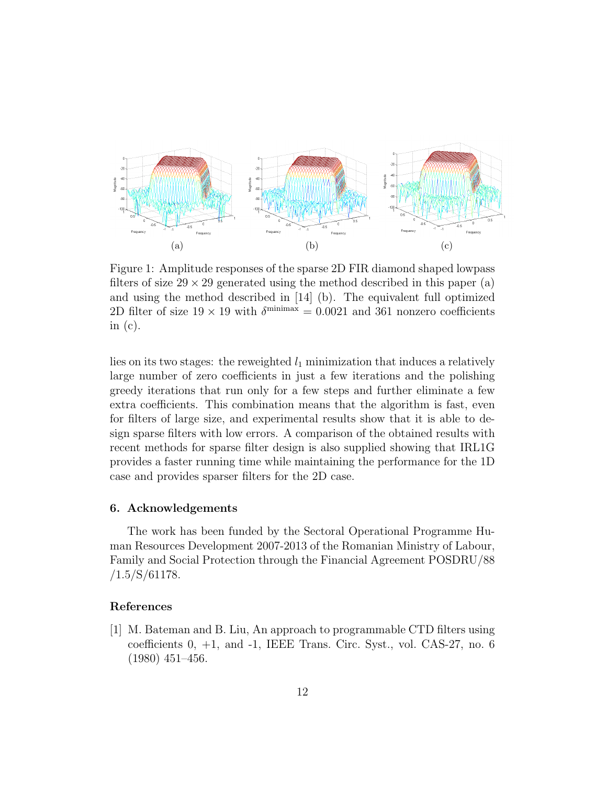

Figure 1: Amplitude responses of the sparse 2D FIR diamond shaped lowpass filters of size  $29 \times 29$  generated using the method described in this paper (a) and using the method described in [14] (b). The equivalent full optimized 2D filter of size  $19 \times 19$  with  $\delta^{\text{minimax}} = 0.0021$  and 361 nonzero coefficients in  $(c)$ .

lies on its two stages: the reweighted  $l_1$  minimization that induces a relatively large number of zero coefficients in just a few iterations and the polishing greedy iterations that run only for a few steps and further eliminate a few extra coefficients. This combination means that the algorithm is fast, even for filters of large size, and experimental results show that it is able to design sparse filters with low errors. A comparison of the obtained results with recent methods for sparse filter design is also supplied showing that IRL1G provides a faster running time while maintaining the performance for the 1D case and provides sparser filters for the 2D case.

#### 6. Acknowledgements

The work has been funded by the Sectoral Operational Programme Human Resources Development 2007-2013 of the Romanian Ministry of Labour, Family and Social Protection through the Financial Agreement POSDRU/88  $/1.5/S/61178.$ 

#### References

[1] M. Bateman and B. Liu, An approach to programmable CTD filters using coefficients 0, +1, and -1, IEEE Trans. Circ. Syst., vol. CAS-27, no. 6 (1980) 451–456.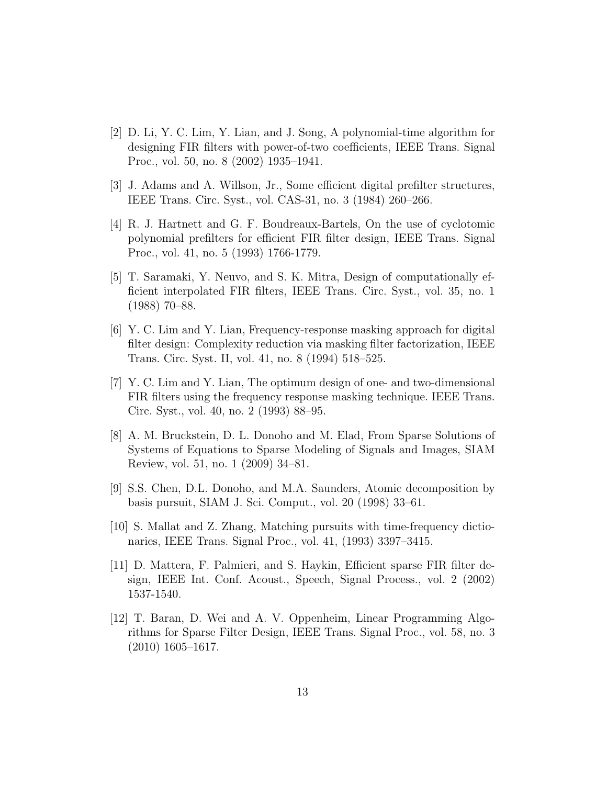- [2] D. Li, Y. C. Lim, Y. Lian, and J. Song, A polynomial-time algorithm for designing FIR filters with power-of-two coefficients, IEEE Trans. Signal Proc., vol. 50, no. 8 (2002) 1935–1941.
- [3] J. Adams and A. Willson, Jr., Some efficient digital prefilter structures, IEEE Trans. Circ. Syst., vol. CAS-31, no. 3 (1984) 260–266.
- [4] R. J. Hartnett and G. F. Boudreaux-Bartels, On the use of cyclotomic polynomial prefilters for efficient FIR filter design, IEEE Trans. Signal Proc., vol. 41, no. 5 (1993) 1766-1779.
- [5] T. Saramaki, Y. Neuvo, and S. K. Mitra, Design of computationally efficient interpolated FIR filters, IEEE Trans. Circ. Syst., vol. 35, no. 1 (1988) 70–88.
- [6] Y. C. Lim and Y. Lian, Frequency-response masking approach for digital filter design: Complexity reduction via masking filter factorization, IEEE Trans. Circ. Syst. II, vol. 41, no. 8 (1994) 518–525.
- [7] Y. C. Lim and Y. Lian, The optimum design of one- and two-dimensional FIR filters using the frequency response masking technique. IEEE Trans. Circ. Syst., vol. 40, no. 2 (1993) 88–95.
- [8] A. M. Bruckstein, D. L. Donoho and M. Elad, From Sparse Solutions of Systems of Equations to Sparse Modeling of Signals and Images, SIAM Review, vol. 51, no. 1 (2009) 34–81.
- [9] S.S. Chen, D.L. Donoho, and M.A. Saunders, Atomic decomposition by basis pursuit, SIAM J. Sci. Comput., vol. 20 (1998) 33–61.
- [10] S. Mallat and Z. Zhang, Matching pursuits with time-frequency dictionaries, IEEE Trans. Signal Proc., vol. 41, (1993) 3397–3415.
- [11] D. Mattera, F. Palmieri, and S. Haykin, Efficient sparse FIR filter design, IEEE Int. Conf. Acoust., Speech, Signal Process., vol. 2 (2002) 1537-1540.
- [12] T. Baran, D. Wei and A. V. Oppenheim, Linear Programming Algorithms for Sparse Filter Design, IEEE Trans. Signal Proc., vol. 58, no. 3 (2010) 1605–1617.